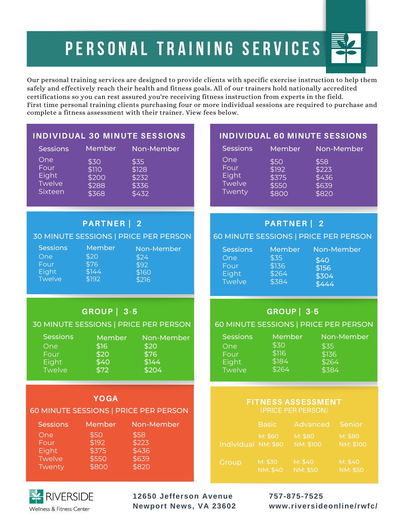# PERSONAL TRAINING SERVICES

Our personal training services are designed to provide clients with specific exercise instruction to help them safely and effectively reach their health and fitness goals. All of our trainers hold nationally accredited certifications so you can rest assured you're receiving fitness instruction from experts in the field. First time personal training clients purchasing four or more individual sessions are required to purchase and complete a fitness assessment with their trainer. View fees below.

#### INDIVIDUAL 30 MINUTE SESSIONS

| <b>Sessions</b> | Member | Non-Member |
|-----------------|--------|------------|
| One             | \$30   | \$35       |
| Four            | \$110  | \$128      |
| Eight           | \$200  | \$232      |
| <b>Twelve</b>   | \$288  | \$336      |
| Sixteen         | \$368  | \$432      |

PARTNER | 2 30 MINUTE SESSIONS | PRICE PER PERSON

GROUP | 3-5 30 MINUTE SESSIONS | PRICE PER PERSON

> Member \$16 \$20 \$40 \$72

YOGA 60 MINUTE SESSIONS | PRICE PER PERSON

> \$50 \$192 \$375 \$550 \$800

#### INDIVIDUAL 60 MINUTE SESSIONS

| <b>Sessions</b> | Member | Non-Member |
|-----------------|--------|------------|
| One             | \$50   | \$58       |
| Four            | \$192  | \$223      |
| Eight           | \$375  | \$436      |
| <b>Twelve</b>   | \$550  | \$639      |
| Twenty          | \$800  | \$820      |

### PARTNER | 2

#### 60 MINUTE SESSIONS | PRICE PER PERSON

| ons | Member<br>\$20<br>\$76<br>\$144 | Non-Member<br>\$24<br>\$92<br>\$160 | Session<br>One<br>Four<br>Eight |
|-----|---------------------------------|-------------------------------------|---------------------------------|
| æ.  | \$192                           | \$216                               | Twelve                          |

Non-Member

Non-Member

\$20 \$76 \$144 \$204

\$58 \$223 \$436 \$639 \$820

| าร | Member | Non-Member |
|----|--------|------------|
|    | \$35   | \$40       |
|    | \$136  | \$156      |
|    | \$264  | \$304      |
|    | \$384  | \$444      |

## GROUP | 3-5

#### 60 MINUTE SESSIONS | PRICE PER PERSON

| <b>Sessions</b> | Member | Non-Member |
|-----------------|--------|------------|
| One             | \$30   | \$35       |
| Four            | \$116  | \$136      |
| Eight           | \$184  | \$264      |
| Twelve          | \$264  | \$384      |

#### FITNESS ASSESSMENT (PRICE PER PERSON)

|                     | <b>Basic</b>               | Advanced                    | Senior                      |
|---------------------|----------------------------|-----------------------------|-----------------------------|
| Individual NM: \$80 | M: \$60                    | M: \$80<br><b>NM: \$100</b> | M: \$80<br><b>NM: \$100</b> |
| Group               | M: \$30<br><b>NM: \$40</b> | M: \$40<br><b>NM: \$50</b>  | M: \$40<br><b>NM: \$50</b>  |



One Four **Eight** Twelve Twenty

Sessi One Four Eight Twel

> **Sessions** One Four Eight **Twelve**

Sessions Member

**12650 Jefferson Avenue Newport News, VA 23602** **757-875-7525 www.riversideonline/rwfc/**